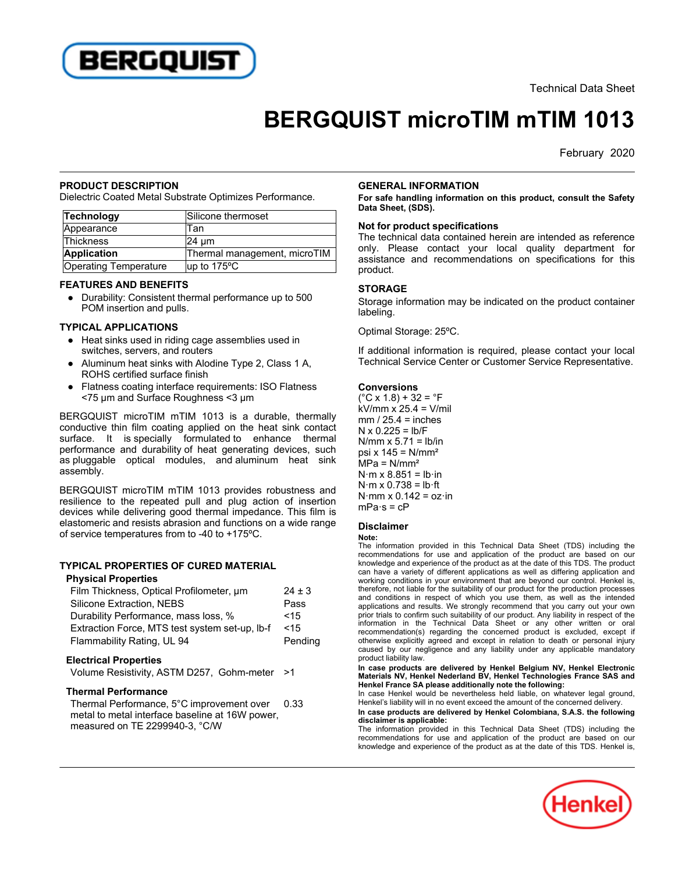

# **BERGQUIST microTIM mTIM 1013**

February 2020

## **PRODUCT DESCRIPTION**

Dielectric Coated Metal Substrate Optimizes Performance.

| Technology            | Silicone thermoset           |
|-----------------------|------------------------------|
| Appearance            | Tan                          |
| Thickness             | 24 um                        |
| Application           | Thermal management, microTIM |
| Operating Temperature | up to $175^{\circ}$ C        |

#### **FEATURES AND BENEFITS**

■ 11 Dr. ■ Dr. ■ D Dr. ■ 11 Dr. ■ 11 Dr. ■ 11 Dr. ■ 11 Dr. ■ 11 Dr. ■ 10 Dr. ■ 10 Dr. ■ 10 Dr. ■ 10 Dr. ■ 10 D POM insertion and pulls.

### **TYPICAL APPLICATIONS**

- Heat sinks used in riding cage assemblies used in switches, servers, and routers
- $\overline{\phantom{a}}$  Aluminum heat sinks with Alodine Type 2, Class 1 A, ROHS certified surface finish
- $\overline{\phantom{a}}$  Flatness coating interface requirements: ISO Flatness <75 µm and Surface Roughness <3 µm

BERGQUIST microTIM mTIM 1013 is a durable, thermally conductive thin film coating applied on the heat sink contact surface. It is specially formulated to enhance thermal performance and durability of heat generating devices, such as pluggable optical modules, and aluminum heat sink as plugga.<br>assembly.

BERGQUIST microTIM mTIM 1013 provides robustness and resilience to the repeated pull and plug action of insertion devices while delivering good thermal impedance. This film is elastomeric and resists abrasion and functions on a wide range of service temperatures from to -40 to +175ºC.

# **TYPICAL PROPERTIES OF CURED MATERIAL**

#### **Physical Properties**

| Film Thickness, Optical Profilometer, um                                     | $24 \pm 3$ |
|------------------------------------------------------------------------------|------------|
| Silicone Extraction, NEBS                                                    | Pass       |
| Durability Performance, mass loss, %                                         | < 15       |
| Extraction Force, MTS test system set-up, Ib-f                               | < 15       |
| Flammability Rating, UL 94                                                   | Pending    |
| <b>Electrical Properties</b><br>Volume Resistivity, ASTM D257, Gohm-meter >1 |            |

# **Thermal Performance**

Thermal Performance, 5°C improvement over memian renomiance, 9 G improvement over<br>metal to metal interface baseline at 16W power. measured on TE 2299940-3, °C/W 0.33

#### **GENERAL INFORMATION**

**For safe handling information on this product, consult the Safety Data Sheet, (SDS).**

## **Not for product specifications**

The technical data contained herein are intended as reference only. Please contact your local quality department for assistance and recommendations on specifications for this product.

#### **STORAGE**

Storage information may be indicated on the product container labeling.

Optimal Storage: 25ºC.

If additional information is required, please contact your local In additional information is required, piease contact your local<br>Technical Service Center or Customer Service Representative.

#### **Conversions**

(°C x 1.8) + 32 = °F kV/mm x 25.4 = V/mil mm / 25.4 = inches N x 0.225 = lb/F N/mm x 5.71 = lb/in  $p$ si x 145 = N/mm<sup>2</sup> MPa = N/mm² N·m x 8.851 = lb·in N·m x 0.738 = lb·ft N·mm x 0.142 = oz·in ………..<br>mPa·s = cP

## **Disclaimer**

#### **Note:**

 The information provided in this Technical Data Sheet (TDS) including the recommendations for use and application of the product are based on our knowledge and experience of the product as at the date of this TDS. The product can have a variety of different applications as well as differing application and working conditions in your environment that are beyond our control. Henkel is, therefore, not liable for the suitability of our product for the production processes and conditions in respect of which you use them, as well as the intended and conditions in respect of which you use them, as well as the intended<br>applications and results. We strongly recommend that you carry out your own prior trials to confirm such suitability of our product. Any liability in respect of the information in the Technical Data Sheet or any other written or oral recommendation(s) regarding the concerned product is excluded, except if otherwise explicitly agreed and except in relation to death or personal injury caused by our negligence and except in relation to death or personal injury<br>caused by our negligence and any liability under any applicable mandatory product liability law.

r<br>In case products are delivered by Henkel Belgium NV, Henkel Electronic<br>Materials NV. Henkel Nederland BV. Henkel Technologies France SAS and **Henkel France SA please additionally note the following:**

Inchitent rance of piease additionally note the following.<br>In case Henkel would be nevertheless held liable, on whatever legal ground, In case Tienker would be nevertheress held habie, on whatever regar ground.<br>Henkel's liability will in no event exceed the amount of the concerned delivery.

**In case products are delivered by Henkel Colombiana, S.A.S. the following disclaimer is applicable:**

The information provided in this Technical Data Sheet (TDS) including the recommendations for use and application of the product are based on our knowledge and experience of the product as at the date of this TDS. Henkel is,